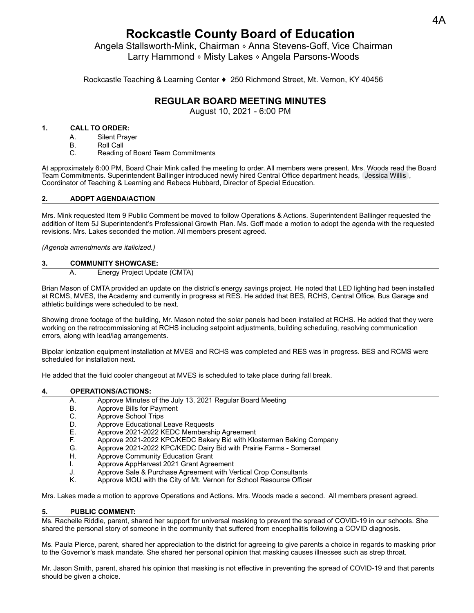# **Rockcastle County Board of Education**

Angela Stallsworth-Mink, Chairman ⬧ Anna Stevens-Goff, Vice Chairman Larry Hammond ⬧ Misty Lakes ⬧ Angela Parsons-Woods

Rockcastle Teaching & Learning Center ♦ 250 Richmond Street, Mt. Vernon, KY 40456

# **REGULAR BOARD MEETING MINUTES**

August 10, 2021 - 6:00 PM

## **1. CALL TO ORDER:**

- A. Silent Prayer
- B. Roll Call
- C. Reading of Board Team Commitments

At approximately 6:00 PM, Board Chair Mink called the meeting to order. All members were present. Mrs. Woods read the Board Team Commitments. Superintendent Ballinger introduced newly hired Central Office department heads, [Jessica Willis](mailto:jessica.willis@rockcastle.kyschools.us) , Coordinator of Teaching & Learning and Rebeca Hubbard, Director of Special Education.

# **2. ADOPT AGENDA/ACTION**

Mrs. Mink requested Item 9 Public Comment be moved to follow Operations & Actions. Superintendent Ballinger requested the addition of Item 5J Superintendent's Professional Growth Plan. Ms. Goff made a motion to adopt the agenda with the requested revisions. Mrs. Lakes seconded the motion. All members present agreed.

*(Agenda amendments are italicized.)*

### **3. COMMUNITY SHOWCASE:**

A. Energy Project Update (CMTA)

Brian Mason of CMTA provided an update on the district's energy savings project. He noted that LED lighting had been installed at RCMS, MVES, the Academy and currently in progress at RES. He added that BES, RCHS, Central Office, Bus Garage and athletic buildings were scheduled to be next.

Showing drone footage of the building, Mr. Mason noted the solar panels had been installed at RCHS. He added that they were working on the retrocommissioning at RCHS including setpoint adjustments, building scheduling, resolving communication errors, along with lead/lag arrangements.

Bipolar ionization equipment installation at MVES and RCHS was completed and RES was in progress. BES and RCMS were scheduled for installation next.

He added that the fluid cooler changeout at MVES is scheduled to take place during fall break.

# **4. OPERATIONS/ACTIONS:**

- A. Approve Minutes of the July 13, 2021 Regular Board Meeting
- B. Approve Bills for Payment
- C. Approve School Trips
- D. Approve Educational Leave Requests
- E. Approve 2021-2022 KEDC Membership Agreement
- F. Approve 2021-2022 KPC/KEDC Bakery Bid with Klosterman Baking Company
- G. Approve 2021-2022 KPC/KEDC Dairy Bid with Prairie Farms Somerset
- H. Approve Community Education Grant
- I. Approve AppHarvest 2021 Grant Agreement
- J. Approve Sale & Purchase Agreement with Vertical Crop Consultants
- K. Approve MOU with the City of Mt. Vernon for School Resource Officer

Mrs. Lakes made a motion to approve Operations and Actions. Mrs. Woods made a second. All members present agreed.

#### **5. PUBLIC COMMENT:**

Ms. Rachelle Riddle, parent, shared her support for universal masking to prevent the spread of COVID-19 in our schools. She shared the personal story of someone in the community that suffered from encephalitis following a COVID diagnosis.

Ms. Paula Pierce, parent, shared her appreciation to the district for agreeing to give parents a choice in regards to masking prior to the Governor's mask mandate. She shared her personal opinion that masking causes illnesses such as strep throat.

Mr. Jason Smith, parent, shared his opinion that masking is not effective in preventing the spread of COVID-19 and that parents should be given a choice.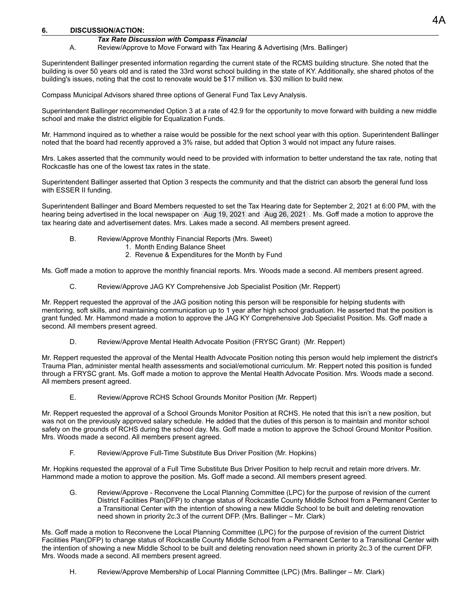#### **6. DISCUSSION/ACTION:**

#### *Tax Rate Discussion with Compass Financial*

A. Review/Approve to Move Forward with Tax Hearing & Advertising (Mrs. Ballinger)

Superintendent Ballinger presented information regarding the current state of the RCMS building structure. She noted that the building is over 50 years old and is rated the 33rd worst school building in the state of KY. Additionally, she shared photos of the building's issues, noting that the cost to renovate would be \$17 million vs. \$30 million to build new.

Compass Municipal Advisors shared three options of General Fund Tax Levy Analysis.

Superintendent Ballinger recommended Option 3 at a rate of 42.9 for the opportunity to move forward with building a new middle school and make the district eligible for Equalization Funds.

Mr. Hammond inquired as to whether a raise would be possible for the next school year with this option. Superintendent Ballinger noted that the board had recently approved a 3% raise, but added that Option 3 would not impact any future raises.

Mrs. Lakes asserted that the community would need to be provided with information to better understand the tax rate, noting that Rockcastle has one of the lowest tax rates in the state.

Superintendent Ballinger asserted that Option 3 respects the community and that the district can absorb the general fund loss with ESSER II funding.

Superintendent Ballinger and Board Members requested to set the Tax Hearing date for September 2, 2021 at 6:00 PM, with the hearing being advertised in the local newspaper on Aug 19, 2021 and Aug 26, 2021 . Ms. Goff made a motion to approve the tax hearing date and advertisement dates. Mrs. Lakes made a second. All members present agreed.

- B. Review/Approve Monthly Financial Reports (Mrs. Sweet)
	- 1. Month Ending Balance Sheet
	- 2. Revenue & Expenditures for the Month by Fund

Ms. Goff made a motion to approve the monthly financial reports. Mrs. Woods made a second. All members present agreed.

C. Review/Approve JAG KY Comprehensive Job Specialist Position (Mr. Reppert)

Mr. Reppert requested the approval of the JAG position noting this person will be responsible for helping students with mentoring, soft skills, and maintaining communication up to 1 year after high school graduation. He asserted that the position is grant funded. Mr. Hammond made a motion to approve the JAG KY Comprehensive Job Specialist Position. Ms. Goff made a second. All members present agreed.

D. Review/Approve Mental Health Advocate Position (FRYSC Grant) (Mr. Reppert)

Mr. Reppert requested the approval of the Mental Health Advocate Position noting this person would help implement the district's Trauma Plan, administer mental health assessments and social/emotional curriculum. Mr. Reppert noted this position is funded through a FRYSC grant. Ms. Goff made a motion to approve the Mental Health Advocate Position. Mrs. Woods made a second. All members present agreed.

E. Review/Approve RCHS School Grounds Monitor Position (Mr. Reppert)

Mr. Reppert requested the approval of a School Grounds Monitor Position at RCHS. He noted that this isn't a new position, but was not on the previously approved salary schedule. He added that the duties of this person is to maintain and monitor school safety on the grounds of RCHS during the school day. Ms. Goff made a motion to approve the School Ground Monitor Position. Mrs. Woods made a second. All members present agreed.

F. Review/Approve Full-Time Substitute Bus Driver Position (Mr. Hopkins)

Mr. Hopkins requested the approval of a Full Time Substitute Bus Driver Position to help recruit and retain more drivers. Mr. Hammond made a motion to approve the position. Ms. Goff made a second. All members present agreed.

G. Review/Approve - Reconvene the Local Planning Committee (LPC) for the purpose of revision of the current District Facilities Plan(DFP) to change status of Rockcastle County Middle School from a Permanent Center to a Transitional Center with the intention of showing a new Middle School to be built and deleting renovation need shown in priority 2c.3 of the current DFP. (Mrs. Ballinger – Mr. Clark)

Ms. Goff made a motion to Reconvene the Local Planning Committee (LPC) for the purpose of revision of the current District Facilities Plan(DFP) to change status of Rockcastle County Middle School from a Permanent Center to a Transitional Center with the intention of showing a new Middle School to be built and deleting renovation need shown in priority 2c.3 of the current DFP. Mrs. Woods made a second. All members present agreed.

H. Review/Approve Membership of Local Planning Committee (LPC) (Mrs. Ballinger – Mr. Clark)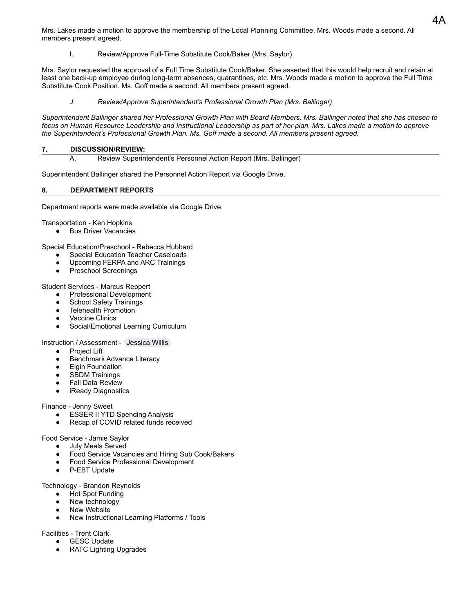Mrs. Lakes made a motion to approve the membership of the Local Planning Committee. Mrs. Woods made a second. All members present agreed.

I. Review/Approve Full-Time Substitute Cook/Baker (Mrs. Saylor)

Mrs. Saylor requested the approval of a Full Time Substitute Cook/Baker. She asserted that this would help recruit and retain at least one back-up employee during long-term absences, quarantines, etc. Mrs. Woods made a motion to approve the Full Time Substitute Cook Position. Ms. Goff made a second. All members present agreed.

*J. Review/Approve Superintendent's Professional Growth Plan (Mrs. Ballinger)*

*Superintendent Ballinger shared her Professional Growth Plan with Board Members. Mrs. Ballinger noted that she has chosen to focus on Human Resource Leadership and Instructional Leadership as part of her plan. Mrs. Lakes made a motion to approve the Superintendent's Professional Growth Plan. Ms. Goff made a second. All members present agreed.*

## **7. DISCUSSION/REVIEW:**

A. Review Superintendent's Personnel Action Report (Mrs. Ballinger)

Superintendent Ballinger shared the Personnel Action Report via Google Drive.

### **8. DEPARTMENT REPORTS**

Department reports were made available via Google Drive.

Transportation - Ken Hopkins

● Bus Driver Vacancies

Special Education/Preschool - Rebecca Hubbard

- **Special Education Teacher Caseloads**
- Upcoming FERPA and ARC Trainings
- Preschool Screenings

Student Services - Marcus Reppert

- Professional Development
- School Safety Trainings
- Telehealth Promotion
- Vaccine Clinics
- Social/Emotional Learning Curriculum

Instruction / Assessment - [Jessica Willis](mailto:jessica.willis@rockcastle.kyschools.us)

- **Project Lift**
- **Benchmark Advance Literacy**
- Elgin Foundation
- SBDM Trainings
- Fall Data Review
- iReady Diagnostics

Finance - Jenny Sweet

- **ESSER II YTD Spending Analysis**
- Recap of COVID related funds received

Food Service - Jamie Saylor

- July Meals Served
- Food Service Vacancies and Hiring Sub Cook/Bakers
- Food Service Professional Development
- P-EBT Update

Technology - Brandon Reynolds

- **Hot Spot Funding**
- New technology
- New Website
- New Instructional Learning Platforms / Tools

Facilities - Trent Clark

- **GESC Update**
- RATC Lighting Upgrades